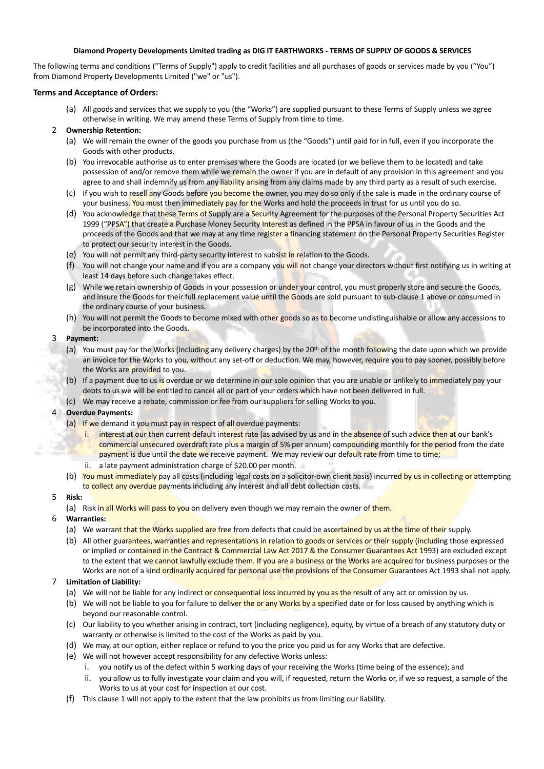#### **Diamond Property Developments Limited trading as DIG IT EARTHWORKS - TERMS OF SUPPLY OF GOODS & SERVICES**

The following terms and conditions ("Terms of Supply") apply to credit facilities and all purchases of goods or services made by you ("You") from Diamond Property Developments Limited ("we" or "us").

#### **Terms and Acceptance of Orders:**

(a) All goods and services that we supply to you (the "Works") are supplied pursuant to these Terms of Supply unless we agree otherwise in writing. We may amend these Terms of Supply from time to time.

## 2 **Ownership Retention:**

- (a) We will remain the owner of the goods you purchase from us (the "Goods") until paid for in full, even if you incorporate the Goods with other products.
- (b) You irrevocable authorise us to enter premises where the Goods are located (or we believe them to be located) and take possession of and/or remove them while we remain the owner if you are in default of any provision in this agreement and you agree to and shall indemnify us from any liability arising from any claims made by any third party as a result of such exercise.
- (c) If you wish to resell any Goods before you become the owner, you may do so only if the sale is made in the ordinary course of your business. You must then immediately pay for the Works and hold the proceeds in trust for us until you do so.
- (d) You acknowledge that these Terms of Supply are a Security Agreement for the purposes of the Personal Property Securities Act 1999 ("PPSA") that create a Purchase Money Security Interest as defined in the PPSA in favour of us in the Goods and the proceeds of the Goods and that we may at any time register a financing statement on the Personal Property Securities Register to protect our security interest in the Goods.
- (e) You will not permit any third-party security interest to subsist in relation to the Goods.
- (f) You will not change your name and if you are a company you will not change your directors without first notifying us in writing at least 14 days before such change takes effect.
- (g) While we retain ownership of Goods in your possession or under your control, you must properly store and secure the Goods, and insure the Goods for their full replacement value until the Goods are sold pursuant to sub-clause 1 above or consumed in the ordinary course of your business.
- (h) You will not permit the Goods to become mixed with other goods so as to become undistinguishable or allow any accessions to be incorporated into the Goods.

## 3 **Payment:**

- (a) You must pay for the Works (including any delivery charges) by the 20<sup>th</sup> of the month following the date upon which we provide an invoice for the Works to you, without any set-off or deduction. We may, however, require you to pay sooner, possibly before the Works are provided to you.
- (b) If a payment due to us is overdue or we determine in our sole opinion that you are unable or unlikely to immediately pay your debts to us we will be entitled to cancel all or part of your orders which have not been delivered in full.
- (c) We may receive a rebate, commission or fee from our suppliers for selling Works to you.

## 4 **Overdue Payments:**

- (a) If we demand it you must pay in respect of all overdue payments:
	- i. interest at our then current default interest rate (as advised by us and in the absence of such advice then at our bank's commercial unsecured overdraft rate plus a margin of 5% per annum) compounding monthly for the period from the date payment is due until the date we receive payment. We may review our default rate from time to time; ii. a late payment administration charge of \$20.00 per month.
- (b) You must immediately pay all costs (including legal costs on a solicitor-own client basis) incurred by us in collecting or attempting to collect any overdue payments including any interest and all debt collection costs.
- 5 **Risk:**
	- (a) Risk in all Works will pass to you on delivery even though we may remain the owner of them.

## 6 **Warranties:**

- (a) We warrant that the Works supplied are free from defects that could be ascertained by us at the time of their supply.
- (b) All other guarantees, warranties and representations in relation to goods or services or their supply (including those expressed or implied or contained in the Contract & Commercial Law Act 2017 & the Consumer Guarantees Act 1993) are excluded except to the extent that we cannot lawfully exclude them. If you are a business or the Works are acquired for business purposes or the Works are not of a kind ordinarily acquired for personal use the provisions of the Consumer Guarantees Act 1993 shall not apply.

## 7 **Limitation of Liability:**

- (a) We will not be liable for any indirect or consequential loss incurred by you as the result of any act or omission by us.
- (b) We will not be liable to you for failure to deliver the or any Works by a specified date or for loss caused by anything which is beyond our reasonable control.
- (c) Our liability to you whether arising in contract, tort (including negligence), equity, by virtue of a breach of any statutory duty or warranty or otherwise is limited to the cost of the Works as paid by you.
- (d) We may, at our option, either replace or refund to you the price you paid us for any Works that are defective.
- (e) We will not however accept responsibility for any defective Works unless:
	- i. you notify us of the defect within 5 working days of your receiving the Works (time being of the essence); and
	- ii. you allow us to fully investigate your claim and you will, if requested, return the Works or, if we so request, a sample of the Works to us at your cost for inspection at our cost.
- (f) This clause 1 will not apply to the extent that the law prohibits us from limiting our liability.